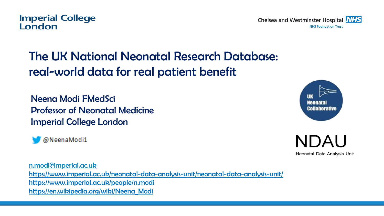The UK National Neonatal Research Database: real-world data for real patient benefit

Neena Modi FMedSci Professor of Neonatal Medicine Imperial College London

@NeenaModi1

[n.modi@imperial.ac.uk](mailto:n.modi@imperial.ac.uk) <https://www.imperial.ac.uk/neonatal-data-analysis-unit/neonatal-data-analysis-unit/> <https://www.imperial.ac.uk/people/n.modi> https://en.wikipedia.org/wiki/Neena\_Modi

#### **Imperial College** London

Mennata Collaborative



Neonatal Data Analysis Unit

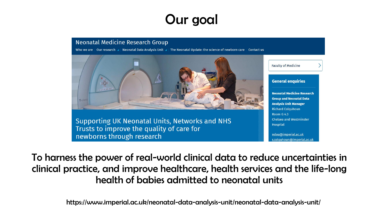# Our goal

#### **Neonatal Medicine Research Group**

Who we are  $\Box$  Our research  $\Box$  Neonatal Data Analysis Unit  $\Box$  The Neonatal Update: the science of newborn care  $\Box$  Contact us



Supporting UK Neonatal Units, Networks and NHS Trusts to improve the quality of care for newborns through research



ndau@imperial.ac.uk r.colauhoun@imperial.ac.uk

To harness the power of real-world clinical data to reduce uncertainties in clinical practice, and improve healthcare, health services and the life-long health of babies admitted to neonatal units

https://www.imperial.ac.uk/neonatal-data-analysis-unit/neonatal-data-analysis-unit/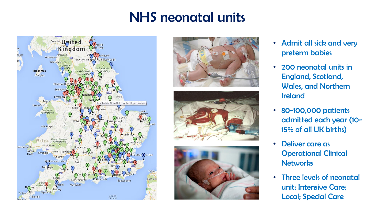# NHS neonatal units









- Admit all sick and very preterm babies
- 200 neonatal units in England, Scotland, Wales, and Northern Ireland
- 80-100,000 patients admitted each year (10- 15% of all UK births)
- Deliver care as Operational Clinical **Networks**
- Three levels of neonatal unit: Intensive Care; Local; Special Care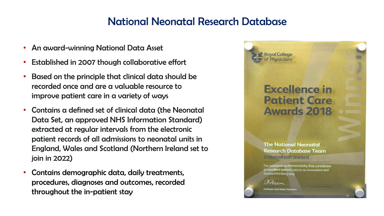### National Neonatal Research Database

- An award-winning National Data Asset
- Established in 2007 though collaborative effort
- Based on the principle that clinical data should be recorded once and are a valuable resource to improve patient care in a variety of ways
- Contains a defined set of clinical data (the Neonatal Data Set, an approved NHS Information Standard) extracted at regular intervals from the electronic patient records of all admissions to neonatal units in England, Wales and Scotland (Northern Ireland set to join in 2022)
- Contains demographic data, daily treatments, procedures, diagnoses and outcomes, recorded throughout the in-patient stay

## **Excellence in Patient Care Awards 2018**

**The National Neonatal Research Database Team** Innovation award

For outstanding dinical activity that contributes to excellent patient care in an innovative and. fanward-thinking way

Marien

**Professor Jone Dogre, President** 

**Royal College** of Physicians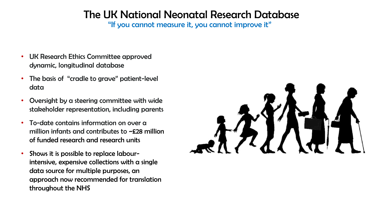### The UK National Neonatal Research Database

"If you cannot measure it, you cannot improve it"

- UK Research Ethics Committee approved dynamic, longitudinal database
- The basis of "cradle to grave" patient-level data
- Oversight by a steering committee with wide stakeholder representation, including parents
- To-date contains information on over a million infants and contributes to ~£28 million of funded research and research units
- Shows it is possible to replace labourintensive, expensive collections with a single data source for multiple purposes, an approach now recommended for translation throughout the NHS

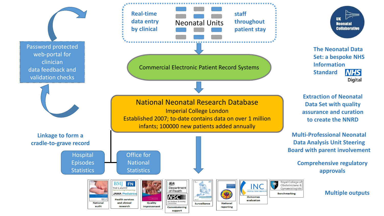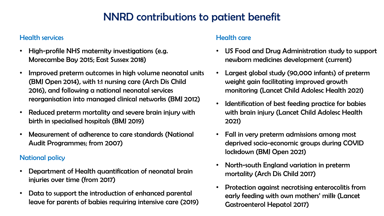## NNRD contributions to patient benefit

#### Health services

- High-profile NHS maternity investigations (e.g. Morecambe Bay 2015; East Sussex 2018)
- Improved preterm outcomes in high volume neonatal units (BMJ Open 2014), with 1:1 nursing care (Arch Dis Child 2016), and following a national neonatal services reorganisation into managed clinical networks (BMJ 2012)
- Reduced preterm mortality and severe brain injury with birth in specialised hospitals (BMJ 2019)
- Measurement of adherence to care standards (National Audit Programmes; from 2007)

#### National policy

- Department of Health quantification of neonatal brain injuries over time (from 2017)
- Data to support the introduction of enhanced parental leave for parents of babies requiring intensive care (2019)

#### Health care

- US Food and Drug Administration study to support newborn medicines development (current)
- Largest global study (90,000 infants) of preterm weight gain facilitating improved growth monitoring (Lancet Child Adolesc Health 2021)
- Identification of best feeding practice for babies with brain injury (Lancet Child Adolesc Health 2021)
- Fall in very preterm admissions among most deprived socio-economic groups during COVID lockdown (BMJ Open 2021)
- North-south England variation in preterm mortality (Arch Dis Child 2017)
- Protection against necrotising enterocolitis from early feeding with own mothers' milk (Lancet Gastroenterol Hepatol 2017)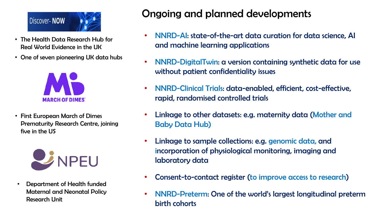

- The Health Data Research Hub for Real World Evidence in the UK
- One of seven pioneering UK data hubs



• First European March of Dimes Prematurity Research Centre, joining five in the US



• Department of Health funded Maternal and Neonatal Policy Research Unit

## Ongoing and planned developments

- NNRD-AI: state-of-the-art data curation for data science, AI and machine learning applications
- NNRD-DigitalTwin: a version containing synthetic data for use without patient confidentiality issues
- NNRD-Clinical Trials: data-enabled, efficient, cost-effective, rapid, randomised controlled trials
- Linkage to other datasets: e.g. maternity data (Mother and Baby Data Hub)
- Linkage to sample collections: e.g. genomic data, and incorporation of physiological monitoring, imaging and laboratory data
- Consent-to-contact register (to improve access to research)
- NNRD-Preterm: One of the world's largest longitudinal preterm birth cohorts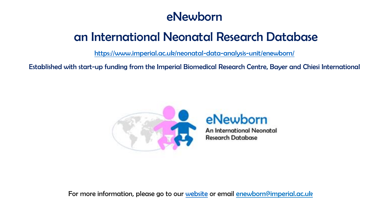## eNewborn

## an International Neonatal Research Database

<https://www.imperial.ac.uk/neonatal-data-analysis-unit/enewborn/>

Established with start-up funding from the Imperial Biomedical Research Centre, Bayer and Chiesi International



## eNewborn

**An International Neonatal Research Database** 

For more information, please go to our [website](https://www.imperial.ac.uk/neonatal-data-analysis-unit/enewborn/) or email [enewborn@imperial.ac.uk](mailto:enewborn@imperial.ac.uk)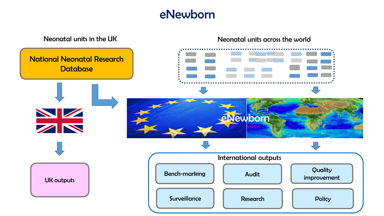## eNewborn

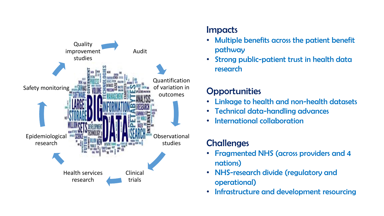

### Impacts

- Multiple benefits across the patient benefit pathway
- Strong public-patient trust in health data research

### **Opportunities**

- Linkage to health and non-health datasets
- Technical data-handling advances
- International collaboration

## **Challenges**

- Fragmented NHS (across providers and 4 nations)
- NHS-research divide (regulatory and operational)
- Infrastructure and development resourcing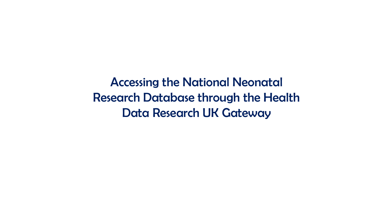Accessing the National Neonatal Research Database through the Health Data Research UK Gateway